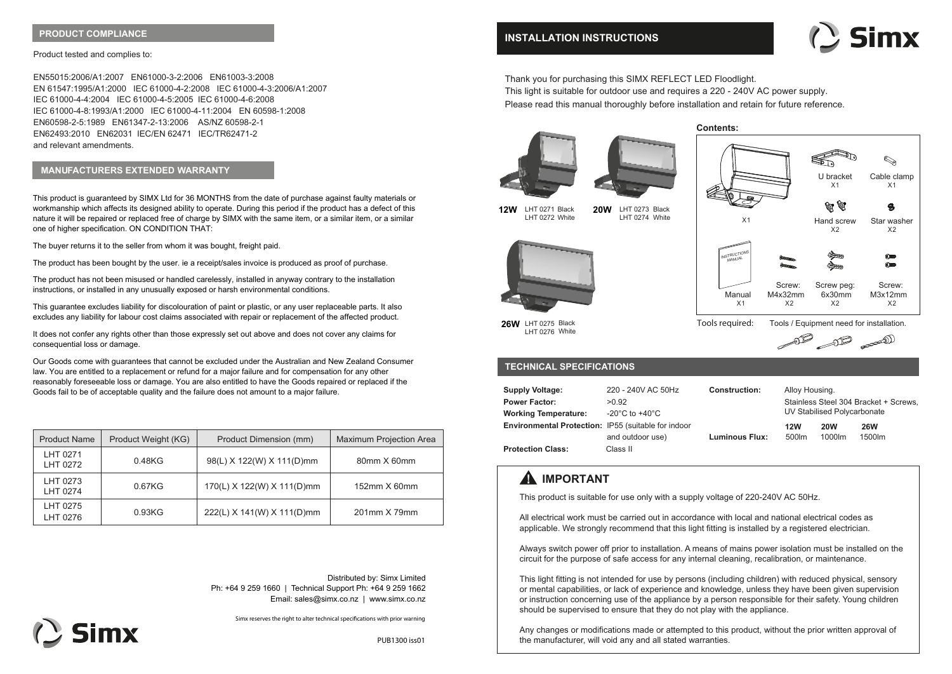## **PRODUCT COMPLIANCE**

### Product tested and complies to:

EN55015:2006/A1:2007 EN61000-3-2:2006 EN61003-3:2008 EN 61547:1995/A1:2000 IEC 61000-4-2:2008 IEC 61000-4-3:2006/A1:2007 IEC 61000-4-4:2004 IEC 61000-4-5:2005 IEC 61000-4-6:2008 IEC 61000-4-8:1993/A1:2000 IEC 61000-4-11:2004 EN 60598-1:2008 EN60598-2-5:1989 EN61347-2-13:2006 AS/NZ 60598-2-1 EN62493:2010 EN62031 IEC/EN 62471 IEC/TR62471-2 and relevant amendments.

## **MANUFACTURERS EXTENDED WARRANTY**

This product is guaranteed by SIMX Ltd for 36 MONTHS from the date of purchase against faulty materials or workmanship which affects its designed ability to operate. During this period if the product has a defect of this nature it will be repaired or replaced free of charge by SIMX with the same item, or a similar item, or a similar one of higher specification. ON CONDITION THAT:

The buyer returns it to the seller from whom it was bought, freight paid.

The product has been bought by the user. ie a receipt/sales invoice is produced as proof of purchase.

The product has not been misused or handled carelessly, installed in anyway contrary to the installation instructions, or installed in any unusually exposed or harsh environmental conditions.

This guarantee excludes liability for discolouration of paint or plastic, or any user replaceable parts. It also excludes any liability for labour cost claims associated with repair or replacement of the affected product.

It does not confer any rights other than those expressly set out above and does not cover any claims for consequential loss or damage.

Our Goods come with guarantees that cannot be excluded under the Australian and New Zealand Consumer law. You are entitled to a replacement or refund for a major failure and for compensation for any other reasonably foreseeable loss or damage. You are also entitled to have the Goods repaired or replaced if the Goods fail to be of acceptable quality and the failure does not amount to a major failure.

| <b>Product Name</b>  | Product Weight (KG) | Product Dimension (mm)     | <b>Maximum Projection Area</b> |
|----------------------|---------------------|----------------------------|--------------------------------|
| LHT 0271<br>LHT 0272 | 0.48KG              | 98(L) X 122(W) X 111(D)mm  | 80mm X 60mm                    |
| LHT 0273<br>LHT 0274 | 0.67KG              | 170(L) X 122(W) X 111(D)mm | 152mm X 60mm                   |
| LHT 0275<br>LHT 0276 | 0.93KG              | 222(L) X 141(W) X 111(D)mm | 201mm X 79mm                   |

Distributed by: Simx Limited Ph: +64 9 259 1660 | Technical Support Ph: +64 9 259 1662 Email: sales@simx.co.nz | www.simx.co.nz

Simx reserves the right to alter technical specifications with prior warning



PUB1300 iss01

## **INSTALLATION INSTRUCTIONS**



Thank you for purchasing this SIMX REFLECT LED Floodlight. This light is suitable for outdoor use and requires a 220 - 240V AC power supply. Please read this manual thoroughly before installation and retain for future reference.

> LHT 0273 Black LHT 0274 White







 $X<sub>1</sub>$ 

Tools / Equipment need for installation.

 $\begin{picture}(120,17) \put(0,0){\line(1,0){10}} \put(15,0){\line(1,0){10}} \put(15,0){\line(1,0){10}} \put(15,0){\line(1,0){10}} \put(15,0){\line(1,0){10}} \put(15,0){\line(1,0){10}} \put(15,0){\line(1,0){10}} \put(15,0){\line(1,0){10}} \put(15,0){\line(1,0){10}} \put(15,0){\line(1,0){10}} \put(15,0){\line(1,0){10}} \put(15,0){\line($ 

 $X<sub>1</sub>$ 

 $\mathbb{Q}$ 

**26W** LHT 0275 Black LHT 0276 White

**12W** LHT 0271 Black 20W LHT 0272 White

## **TECHNICAL SPECIFICATIONS**

| <b>Supply Voltage:</b>                                     | 220 - 240V AC 50Hz                   | <b>Construction:</b>  | Alloy Housing.                        |            |            |
|------------------------------------------------------------|--------------------------------------|-----------------------|---------------------------------------|------------|------------|
| <b>Power Factor:</b>                                       | >0.92                                |                       | Stainless Steel 304 Bracket + Screws, |            |            |
| <b>Working Temperature:</b>                                | -20 $^{\circ}$ C to +40 $^{\circ}$ C |                       | UV Stabilised Polycarbonate           |            |            |
| <b>Environmental Protection: IP55 (suitable for indoor</b> |                                      |                       | <b>12W</b>                            | <b>20W</b> | <b>26W</b> |
|                                                            | and outdoor use)                     | <b>Luminous Flux:</b> | 500lm                                 | 1000lm     | 1500lm     |
| <b>Protection Class:</b>                                   | Class II                             |                       |                                       |            |            |

**Tools required:**

# **A** IMPORTANT

This product is suitable for use only with a supply voltage of 220-240V AC 50Hz.

All electrical work must be carried out in accordance with local and national electrical codes as applicable. We strongly recommend that this light fitting is installed by a registered electrician.

Always switch power off prior to installation. A means of mains power isolation must be installed on the circuit for the purpose of safe access for any internal cleaning, recalibration, or maintenance.

This light fitting is not intended for use by persons (including children) with reduced physical, sensory or mental capabilities, or lack of experience and knowledge, unless they have been given supervision or instruction concerning use of the appliance by a person responsible for their safety. Young children should be supervised to ensure that they do not play with the appliance.

Any changes or modifications made or attempted to this product, without the prior written approval of the manufacturer, will void any and all stated warranties.